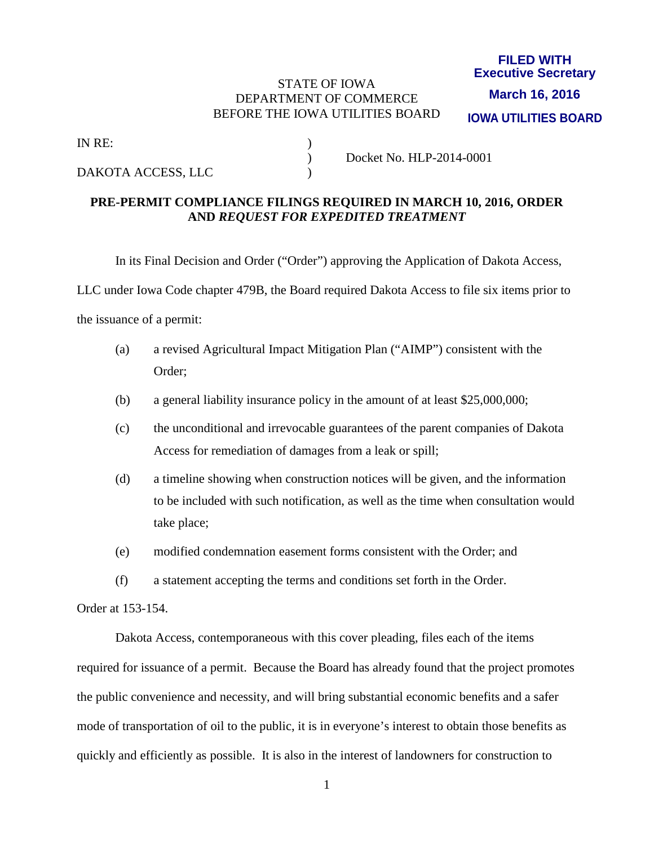### STATE OF IOWA DEPARTMENT OF COMMERCE BEFORE THE IOWA UTILITIES BOARD

#### **FILED WITH Executive Secretary**

**IOWA UTILITIES BOARD March 16, 2016**

IN RE: )

DAKOTA ACCESS, LLC )

) Docket No. HLP-2014-0001

## **PRE-PERMIT COMPLIANCE FILINGS REQUIRED IN MARCH 10, 2016, ORDER AND** *REQUEST FOR EXPEDITED TREATMENT*

In its Final Decision and Order ("Order") approving the Application of Dakota Access,

LLC under Iowa Code chapter 479B, the Board required Dakota Access to file six items prior to

the issuance of a permit:

- (a) a revised Agricultural Impact Mitigation Plan ("AIMP") consistent with the Order;
- (b) a general liability insurance policy in the amount of at least \$25,000,000;
- (c) the unconditional and irrevocable guarantees of the parent companies of Dakota Access for remediation of damages from a leak or spill;
- (d) a timeline showing when construction notices will be given, and the information to be included with such notification, as well as the time when consultation would take place;
- (e) modified condemnation easement forms consistent with the Order; and
- (f) a statement accepting the terms and conditions set forth in the Order.

Order at 153-154.

 Dakota Access, contemporaneous with this cover pleading, files each of the items required for issuance of a permit. Because the Board has already found that the project promotes the public convenience and necessity, and will bring substantial economic benefits and a safer mode of transportation of oil to the public, it is in everyone's interest to obtain those benefits as quickly and efficiently as possible. It is also in the interest of landowners for construction to

1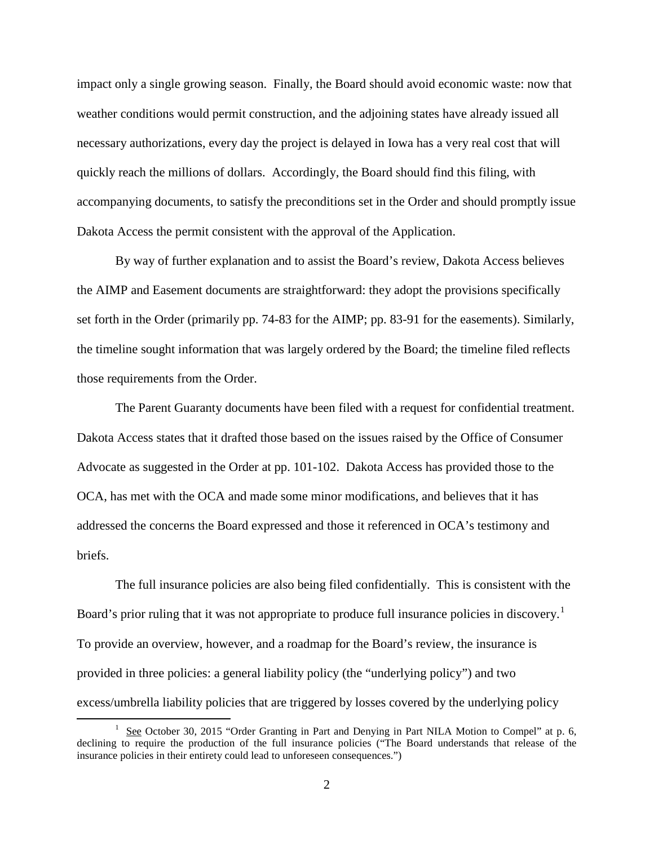impact only a single growing season. Finally, the Board should avoid economic waste: now that weather conditions would permit construction, and the adjoining states have already issued all necessary authorizations, every day the project is delayed in Iowa has a very real cost that will quickly reach the millions of dollars. Accordingly, the Board should find this filing, with accompanying documents, to satisfy the preconditions set in the Order and should promptly issue Dakota Access the permit consistent with the approval of the Application.

 By way of further explanation and to assist the Board's review, Dakota Access believes the AIMP and Easement documents are straightforward: they adopt the provisions specifically set forth in the Order (primarily pp. 74-83 for the AIMP; pp. 83-91 for the easements). Similarly, the timeline sought information that was largely ordered by the Board; the timeline filed reflects those requirements from the Order.

 The Parent Guaranty documents have been filed with a request for confidential treatment. Dakota Access states that it drafted those based on the issues raised by the Office of Consumer Advocate as suggested in the Order at pp. 101-102. Dakota Access has provided those to the OCA, has met with the OCA and made some minor modifications, and believes that it has addressed the concerns the Board expressed and those it referenced in OCA's testimony and briefs.

The full insurance policies are also being filed confidentially. This is consistent with the Board's prior ruling that it was not appropriate to produce full insurance policies in discovery.<sup>[1](#page-1-0)</sup> To provide an overview, however, and a roadmap for the Board's review, the insurance is provided in three policies: a general liability policy (the "underlying policy") and two excess/umbrella liability policies that are triggered by losses covered by the underlying policy

<span id="page-1-0"></span> $\overline{\phantom{a}}$ <sup>1</sup> See October 30, 2015 "Order Granting in Part and Denying in Part NILA Motion to Compel" at p. 6, declining to require the production of the full insurance policies ("The Board understands that release of the insurance policies in their entirety could lead to unforeseen consequences.")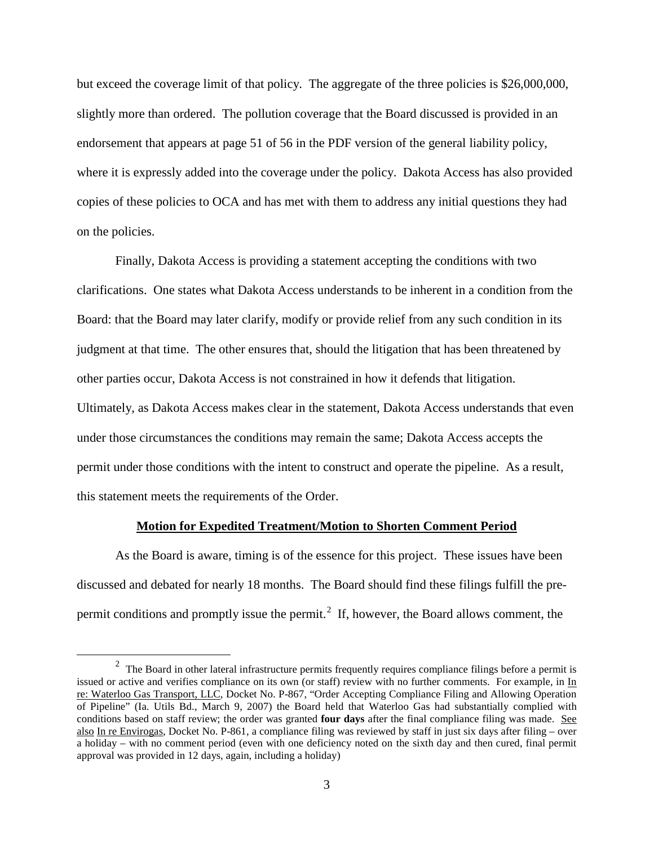but exceed the coverage limit of that policy. The aggregate of the three policies is \$26,000,000, slightly more than ordered. The pollution coverage that the Board discussed is provided in an endorsement that appears at page 51 of 56 in the PDF version of the general liability policy, where it is expressly added into the coverage under the policy. Dakota Access has also provided copies of these policies to OCA and has met with them to address any initial questions they had on the policies.

 Finally, Dakota Access is providing a statement accepting the conditions with two clarifications. One states what Dakota Access understands to be inherent in a condition from the Board: that the Board may later clarify, modify or provide relief from any such condition in its judgment at that time. The other ensures that, should the litigation that has been threatened by other parties occur, Dakota Access is not constrained in how it defends that litigation. Ultimately, as Dakota Access makes clear in the statement, Dakota Access understands that even under those circumstances the conditions may remain the same; Dakota Access accepts the permit under those conditions with the intent to construct and operate the pipeline. As a result, this statement meets the requirements of the Order.

#### **Motion for Expedited Treatment/Motion to Shorten Comment Period**

 As the Board is aware, timing is of the essence for this project. These issues have been discussed and debated for nearly 18 months. The Board should find these filings fulfill the pre-permit conditions and promptly issue the permit.<sup>[2](#page-2-0)</sup> If, however, the Board allows comment, the

<span id="page-2-0"></span><sup>&</sup>lt;sup>2</sup> The Board in other lateral infrastructure permits frequently requires compliance filings before a permit is issued or active and verifies compliance on its own (or staff) review with no further comments. For example, in In re: Waterloo Gas Transport, LLC, Docket No. P-867, "Order Accepting Compliance Filing and Allowing Operation of Pipeline" (Ia. Utils Bd., March 9, 2007) the Board held that Waterloo Gas had substantially complied with conditions based on staff review; the order was granted **four days** after the final compliance filing was made. See also In re Envirogas, Docket No. P-861, a compliance filing was reviewed by staff in just six days after filing – over a holiday – with no comment period (even with one deficiency noted on the sixth day and then cured, final permit approval was provided in 12 days, again, including a holiday)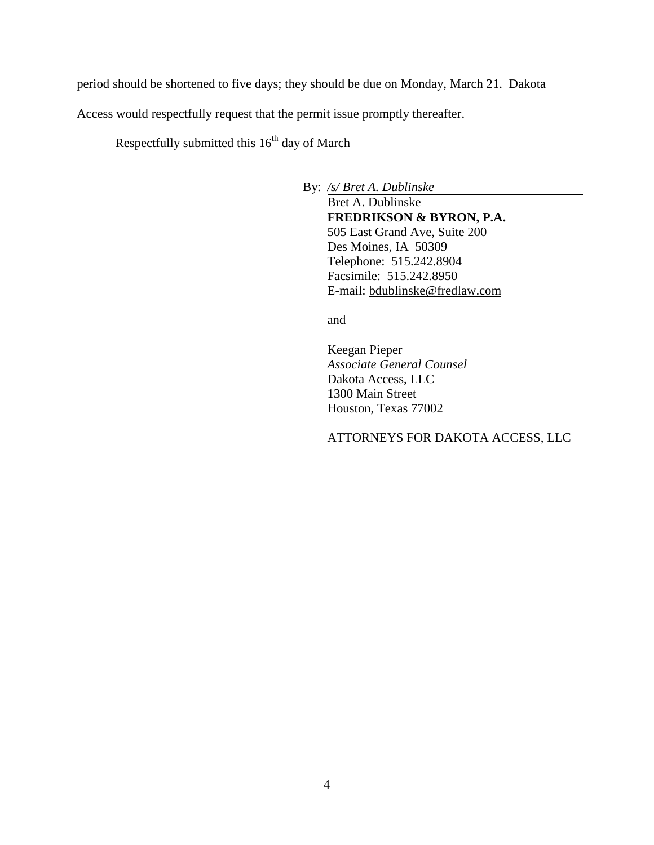period should be shortened to five days; they should be due on Monday, March 21. Dakota

Access would respectfully request that the permit issue promptly thereafter.

Respectfully submitted this  $16<sup>th</sup>$  day of March

By: */s/ Bret A. Dublinske*

Bret A. Dublinske **FREDRIKSON & BYRON, P.A.** 505 East Grand Ave, Suite 200 Des Moines, IA 50309 Telephone: 515.242.8904 Facsimile: 515.242.8950 E-mail: bdublinske@fredlaw.com

and

Keegan Pieper *Associate General Counsel* Dakota Access, LLC 1300 Main Street Houston, Texas 77002

ATTORNEYS FOR DAKOTA ACCESS, LLC